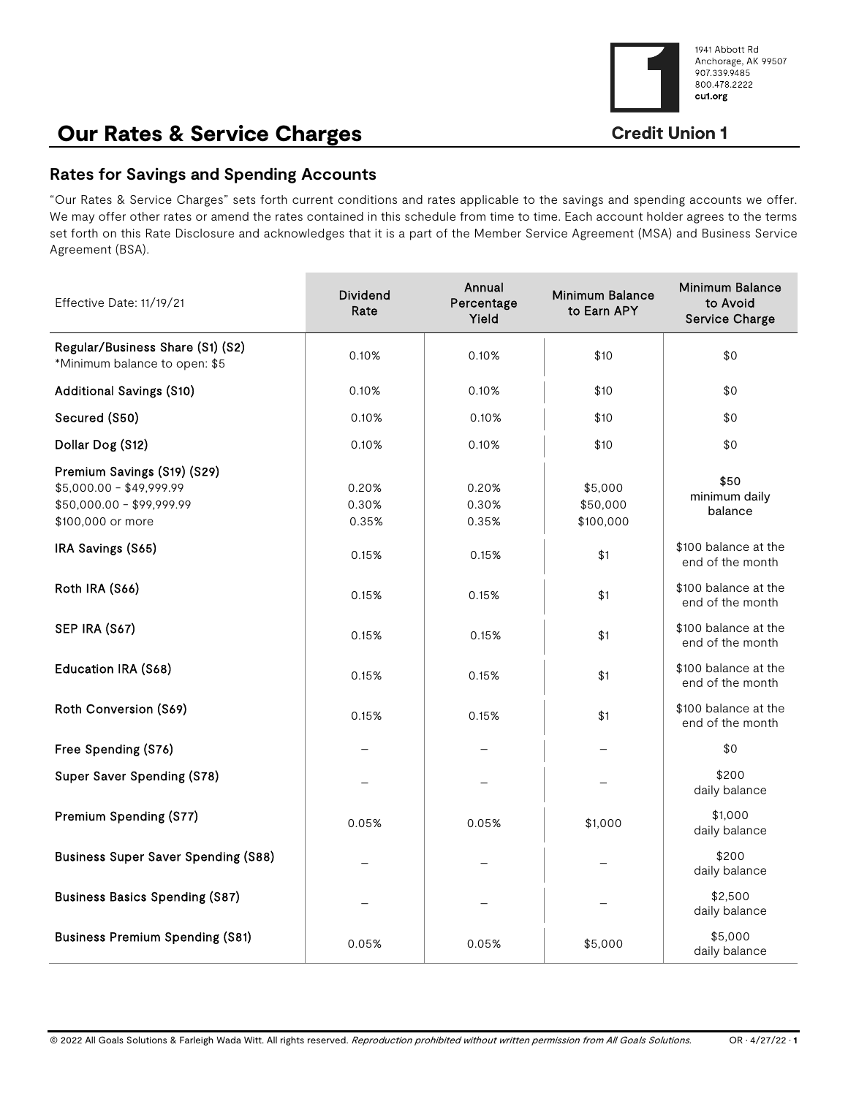

# Our Rates & Service Charges

## **Rates for Savings and Spending Accounts**

"Our Rates & Service Charges" sets forth current conditions and rates applicable to the savings and spending accounts we offer. We may offer other rates or amend the rates contained in this schedule from time to time. Each account holder agrees to the terms set forth on this Rate Disclosure and acknowledges that it is a part of the Member Service Agreement (MSA) and Business Service Agreement (BSA).

| Effective Date: 11/19/21                                                                                  | <b>Dividend</b><br>Rate | Annual<br>Percentage<br>Yield | <b>Minimum Balance</b><br>to Earn APY | <b>Minimum Balance</b><br>to Avoid<br>Service Charge |
|-----------------------------------------------------------------------------------------------------------|-------------------------|-------------------------------|---------------------------------------|------------------------------------------------------|
| Regular/Business Share (S1) (S2)<br>*Minimum balance to open: \$5                                         | 0.10%                   | 0.10%                         | \$10                                  | \$0                                                  |
| <b>Additional Savings (S10)</b>                                                                           | 0.10%                   | 0.10%                         | \$10                                  | \$0                                                  |
| Secured (S50)                                                                                             | 0.10%                   | 0.10%                         | \$10                                  | \$0                                                  |
| Dollar Dog (S12)                                                                                          | 0.10%                   | 0.10%                         | \$10                                  | \$0                                                  |
| Premium Savings (S19) (S29)<br>$$5,000.00 - $49,999.99$<br>$$50,000.00 - $99,999.99$<br>\$100,000 or more | 0.20%<br>0.30%<br>0.35% | 0.20%<br>0.30%<br>0.35%       | \$5,000<br>\$50,000<br>\$100,000      | \$50<br>minimum daily<br>balance                     |
| IRA Savings (S65)                                                                                         | 0.15%                   | 0.15%                         | \$1                                   | \$100 balance at the<br>end of the month             |
| Roth IRA (S66)                                                                                            | 0.15%                   | 0.15%                         | \$1                                   | \$100 balance at the<br>end of the month             |
| SEP IRA (S67)                                                                                             | 0.15%                   | 0.15%                         | \$1                                   | \$100 balance at the<br>end of the month             |
| Education IRA (S68)                                                                                       | 0.15%                   | 0.15%                         | \$1                                   | \$100 balance at the<br>end of the month             |
| Roth Conversion (S69)                                                                                     | 0.15%                   | 0.15%                         | \$1                                   | \$100 balance at the<br>end of the month             |
| Free Spending (S76)                                                                                       |                         |                               |                                       | \$0                                                  |
| Super Saver Spending (S78)                                                                                |                         |                               |                                       | \$200<br>daily balance                               |
| Premium Spending (S77)                                                                                    | 0.05%                   | 0.05%                         | \$1,000                               | \$1,000<br>daily balance                             |
| <b>Business Super Saver Spending (S88)</b>                                                                |                         |                               |                                       | \$200<br>daily balance                               |
| <b>Business Basics Spending (S87)</b>                                                                     |                         |                               |                                       | \$2,500<br>daily balance                             |
| <b>Business Premium Spending (S81)</b>                                                                    | 0.05%                   | 0.05%                         | \$5,000                               | \$5,000<br>daily balance                             |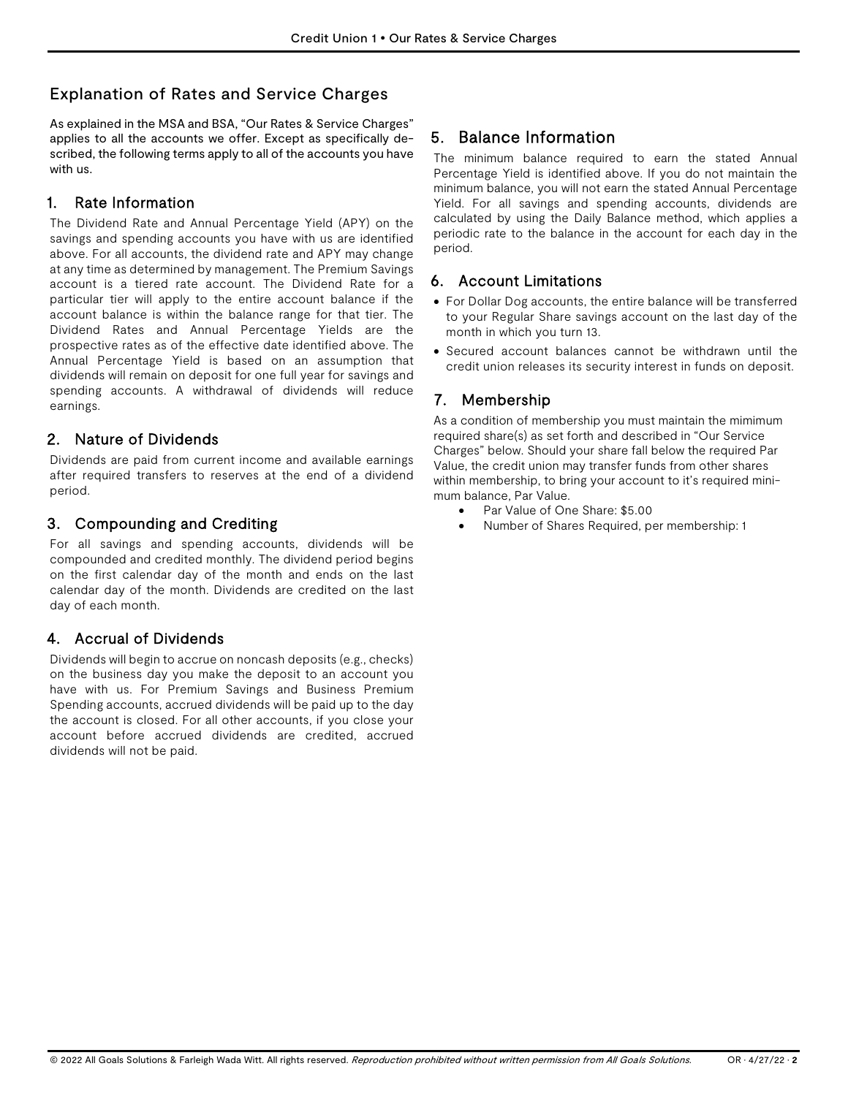## Explanation of Rates and Service Charges

As explained in the MSA and BSA, "Our Rates & Service Charges" applies to all the accounts we offer. Except as specifically described, the following terms apply to all of the accounts you have with us.

## 1. Rate Information

The Dividend Rate and Annual Percentage Yield (APY) on the savings and spending accounts you have with us are identified above. For all accounts, the dividend rate and APY may change at any time as determined by management. The Premium Savings account is a tiered rate account. The Dividend Rate for a particular tier will apply to the entire account balance if the account balance is within the balance range for that tier. The Dividend Rates and Annual Percentage Yields are the prospective rates as of the effective date identified above. The Annual Percentage Yield is based on an assumption that dividends will remain on deposit for one full year for savings and spending accounts. A withdrawal of dividends will reduce earnings.

## 2. Nature of Dividends

Dividends are paid from current income and available earnings after required transfers to reserves at the end of a dividend period.

## 3. Compounding and Crediting

For all savings and spending accounts, dividends will be compounded and credited monthly. The dividend period begins on the first calendar day of the month and ends on the last calendar day of the month. Dividends are credited on the last day of each month.

## 4. Accrual of Dividends

Dividends will begin to accrue on noncash deposits (e.g., checks) on the business day you make the deposit to an account you have with us. For Premium Savings and Business Premium Spending accounts, accrued dividends will be paid up to the day the account is closed. For all other accounts, if you close your account before accrued dividends are credited, accrued dividends will not be paid.

## 5. Balance Information

The minimum balance required to earn the stated Annual Percentage Yield is identified above. If you do not maintain the minimum balance, you will not earn the stated Annual Percentage Yield. For all savings and spending accounts, dividends are calculated by using the Daily Balance method, which applies a periodic rate to the balance in the account for each day in the period.

## 6. Account Limitations

- For Dollar Dog accounts, the entire balance will be transferred to your Regular Share savings account on the last day of the month in which you turn 13.
- Secured account balances cannot be withdrawn until the credit union releases its security interest in funds on deposit.

## 7. Membership

As a condition of membership you must maintain the mimimum required share(s) as set forth and described in "Our Service Charges" below. Should your share fall below the required Par Value, the credit union may transfer funds from other shares within membership, to bring your account to it's required minimum balance, Par Value.

- Par Value of One Share: \$5.00
- Number of Shares Required, per membership: 1